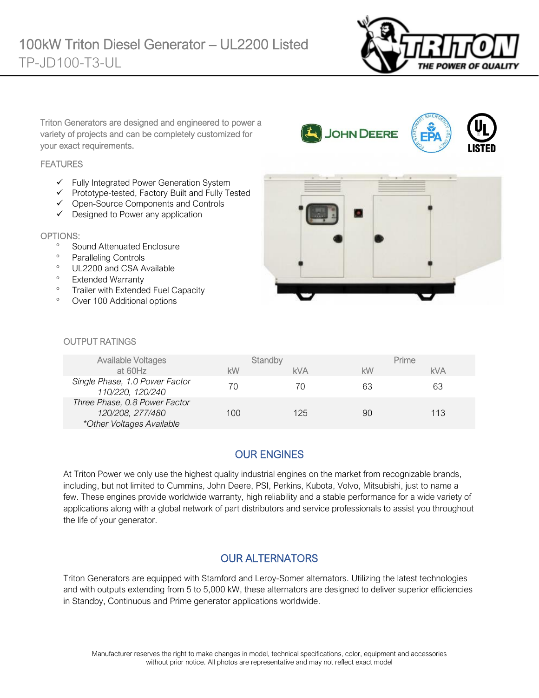

Triton Generators are designed and engineered to power a variety of projects and can be completely customized for your exact requirements.

#### **FEATURES**

- ✓ Fully Integrated Power Generation System
- ✓ Prototype-tested, Factory Built and Fully Tested
- ✓ Open-Source Components and Controls
- ✓ Designed to Power any application

#### OPTIONS:

- <sup>o</sup> Sound Attenuated Enclosure
- <sup>o</sup> Paralleling Controls
- <sup>o</sup> UL2200 and CSA Available
- <sup>o</sup> Extended Warranty
- <sup>o</sup> Trailer with Extended Fuel Capacity
- Over 100 Additional options



#### OUTPUT RATINGS

| <b>Available Voltages</b>                                                      |     | Standby    |    | Prime      |
|--------------------------------------------------------------------------------|-----|------------|----|------------|
| at 60Hz                                                                        | kW  | <b>kVA</b> | kW | <b>kVA</b> |
| Single Phase, 1.0 Power Factor<br>110/220, 120/240                             | 70  | 70         | 63 | 63         |
| Three Phase, 0.8 Power Factor<br>120/208, 277/480<br>*Other Voltages Available | 100 | 125        | 90 | 113        |

# OUR ENGINES

At Triton Power we only use the highest quality industrial engines on the market from recognizable brands, including, but not limited to Cummins, John Deere, PSI, Perkins, Kubota, Volvo, Mitsubishi, just to name a few. These engines provide worldwide warranty, high reliability and a stable performance for a wide variety of applications along with a global network of part distributors and service professionals to assist you throughout the life of your generator.

### OUR ALTERNATORS

Triton Generators are equipped with Stamford and Leroy-Somer alternators. Utilizing the latest technologies and with outputs extending from 5 to 5,000 kW, these alternators are designed to deliver superior efficiencies in Standby, Continuous and Prime generator applications worldwide.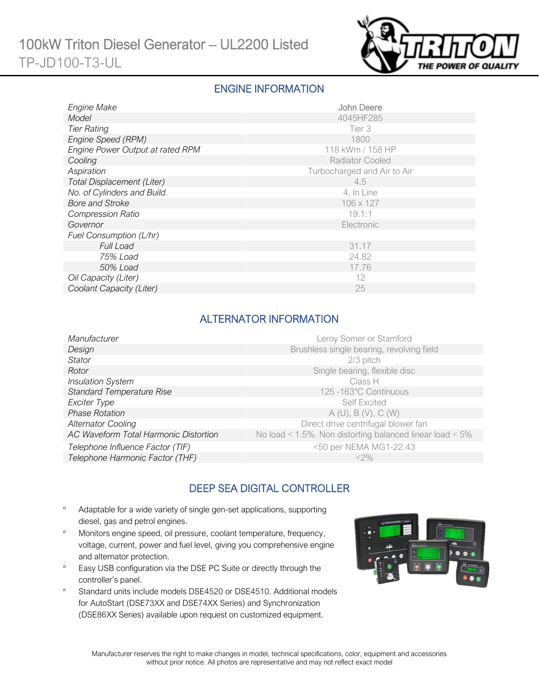

#### ENGINE INFORMATION

| Engine Make                      | John Deere                  |
|----------------------------------|-----------------------------|
| Model                            | 4045HF285                   |
| <b>Tier Rating</b>               | Tier 3                      |
| Engine Speed (RPM)               | 1800                        |
| Engine Power Output at rated RPM | 118 kWm / 158 HP            |
| Cooling                          | <b>Radiator Cooled</b>      |
| Aspiration                       | Turbocharged and Air to Air |
| Total Displacement (Liter)       | 4.5                         |
| No. of Cylinders and Build       | 4, In Line                  |
| <b>Bore and Stroke</b>           | 106 x 127                   |
| <b>Compression Ratio</b>         | 19.1:1                      |
| Governor                         | Electronic                  |
| Fuel Consumption (L/hr)          |                             |
| <b>Full Load</b>                 | 31.17                       |
| 75% Load                         | 24.82                       |
| 50% Load                         | 17.76                       |
| Oil Capacity (Liter)             | 12                          |
| Coolant Capacity (Liter)         | 25                          |

## ALTERNATOR INFORMATION

| Manufacturer                          | Leroy Somer or Stamford                                         |
|---------------------------------------|-----------------------------------------------------------------|
| Design                                | Brushless single bearing, revolving field                       |
| <b>Stator</b>                         | 2/3 pitch                                                       |
| Rotor                                 | Single bearing, flexible disc                                   |
| <b>Insulation System</b>              | Class H                                                         |
| <b>Standard Temperature Rise</b>      | 125 -163°C Continuous                                           |
| Exciter Type                          | <b>Self Excited</b>                                             |
| <b>Phase Rotation</b>                 | A(U), B(V), C(W)                                                |
| <b>Alternator Cooling</b>             | Direct drive centrifugal blower fan                             |
| AC Waveform Total Harmonic Distortion | No load < $1.5\%$ . Non distorting balanced linear load < $5\%$ |
| Telephone Influence Factor (TIF)      | <50 per NEMA MG1-22.43                                          |
| Telephone Harmonic Factor (THF)       | $<$ 2%                                                          |
|                                       |                                                                 |

# DEEP SEA DIGITAL CONTROLLER

- Adaptable for a wide variety of single gen-set applications, supporting diesel, gas and petrol engines.
- Monitors engine speed, oil pressure, coolant temperature, frequency, voltage, current, power and fuel level, giving you comprehensive engine and alternator protection.
- <sup>o</sup> Easy USB configuration via the DSE PC Suite or directly through the controller's panel.
- <sup>o</sup> Standard units include models DSE4520 or DSE4510. Additional models for AutoStart (DSE73XX and DSE74XX Series) and Synchronization (DSE86XX Series) available upon request on customized equipment.

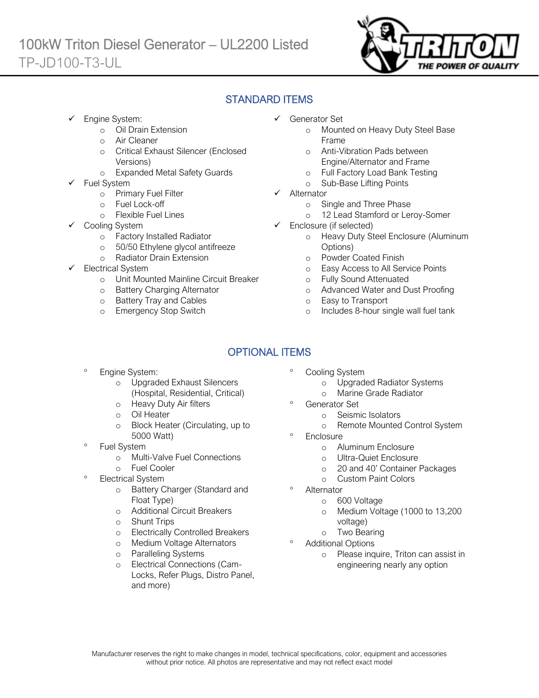

### STANDARD ITEMS

Engine System:

Ī

- o Oil Drain Extension
- o Air Cleaner
- o Critical Exhaust Silencer (Enclosed Versions)
- o Expanded Metal Safety Guards
- Fuel System
	- o Primary Fuel Filter
	- o Fuel Lock-off
		- o Flexible Fuel Lines
	- Cooling System
		- o Factory Installed Radiator
		- o 50/50 Ethylene glycol antifreeze
		- o Radiator Drain Extension
- Electrical System
	- o Unit Mounted Mainline Circuit Breaker
	- o Battery Charging Alternator
	- o Battery Tray and Cables
	- o Emergency Stop Switch
- ✓ Generator Set
	- o Mounted on Heavy Duty Steel Base Frame
	- o Anti-Vibration Pads between Engine/Alternator and Frame
	- o Full Factory Load Bank Testing
	- o Sub-Base Lifting Points
- ✓ Alternator
	- o Single and Three Phase
	- o 12 Lead Stamford or Leroy-Somer
- ✓ Enclosure (if selected)
	- o Heavy Duty Steel Enclosure (Aluminum Options)
	- o Powder Coated Finish
	- o Easy Access to All Service Points
	- o Fully Sound Attenuated
	- o Advanced Water and Dust Proofing
	- o Easy to Transport
	- o Includes 8-hour single wall fuel tank

# OPTIONAL ITEMS

- Engine System:
	- o Upgraded Exhaust Silencers (Hospital, Residential, Critical)
	- o Heavy Duty Air filters
	- o Oil Heater
	- o Block Heater (Circulating, up to 5000 Watt)
- Fuel System
	- o Multi-Valve Fuel Connections
	- o Fuel Cooler
- Electrical System
	- o Battery Charger (Standard and Float Type)
	- o Additional Circuit Breakers
	- o Shunt Trips
	- o Electrically Controlled Breakers
	- o Medium Voltage Alternators
	- o Paralleling Systems
	- o Electrical Connections (Cam-Locks, Refer Plugs, Distro Panel, and more)
- Cooling System
	- o Upgraded Radiator Systems
	- o Marine Grade Radiator
	- Generator Set
		- o Seismic Isolators
		- o Remote Mounted Control System
- **Enclosure** 
	- o Aluminum Enclosure
	- o Ultra-Quiet Enclosure
	- o 20 and 40' Container Packages
	- o Custom Paint Colors
- Alternator
	- o 600 Voltage
	- o Medium Voltage (1000 to 13,200 voltage)
	- o Two Bearing
- Additional Options
	- o Please inquire, Triton can assist in engineering nearly any option